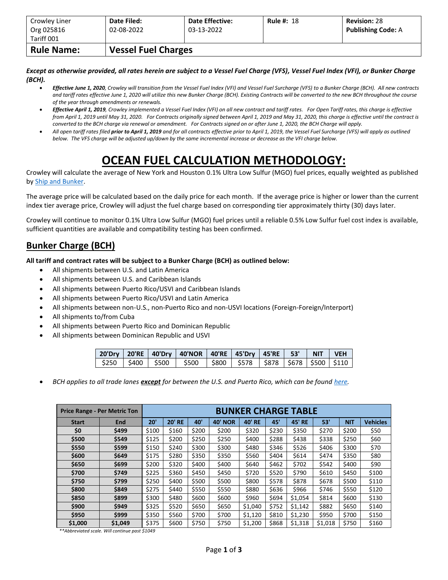| Crowley Liner<br>Org 025816<br>Tariff 001 | Date Filed:<br>02-08-2022 | <b>Date Effective:</b><br>03-13-2022 | <b>Rule #: 18</b> | <b>Revision: 28</b><br><b>Publishing Code: A</b> |  |  |  |  |  |  |
|-------------------------------------------|---------------------------|--------------------------------------|-------------------|--------------------------------------------------|--|--|--|--|--|--|
| <b>Rule Name:</b>                         |                           | <b>Vessel Fuel Charges</b>           |                   |                                                  |  |  |  |  |  |  |

*Except as otherwise provided, all rates herein are subject to a Vessel Fuel Charge (VFS), Vessel Fuel Index (VFI), or Bunker Charge (BCH).*

- *Effective June 1, 2020, Crowley will transition from the Vessel Fuel Index (VFI) and Vessel Fuel Surcharge (VFS) to a Bunker Charge (BCH). All new contracts and tariff rates effective June 1, 2020 will utilize this new Bunker Charge (BCH). Existing Contracts will be converted to the new BCH throughout the course of the year through amendments or renewals.*
- *Effective April 1, 2019, Crowley implemented a Vessel Fuel Index (VFI) on all new contract and tariff rates. For Open Tariff rates, this charge is effective from April 1, 2019 until May 31, 2020. For Contracts originally signed between April 1, 2019 and May 31, 2020, this charge is effective until the contract is converted to the BCH charge via renewal or amendment. For Contracts signed on or after June 1, 2020, the BCH Charge will apply.*
- *All open tariff rates filed prior to April 1, 2019 and for all contracts effective prior to April 1, 2019, the Vessel Fuel Surcharge (VFS) will apply as outlined below. The VFS charge will be adjusted up/down by the same incremental increase or decrease as the VFI charge below.*

## **OCEAN FUEL CALCULATION METHODOLOGY:**

Crowley will calculate the average of New York and Houston 0.1% Ultra Low Sulfur (MGO) fuel prices, equally weighted as published by [Ship and Bunker.](https://shipandbunker.com/)

The average price will be calculated based on the daily price for each month. If the average price is higher or lower than the current index tier average price, Crowley will adjust the fuel charge based on corresponding tier approximately thirty (30) days later.

Crowley will continue to monitor 0.1% Ultra Low Sulfur (MGO) fuel prices until a reliable 0.5% Low Sulfur fuel cost index is available, sufficient quantities are available and compatibility testing has been confirmed.

## **Bunker Charge (BCH)**

**All tariff and contract rates will be subject to a Bunker Charge (BCH) as outlined below:**

- All shipments between U.S. and Latin America
- All shipments between U.S. and Caribbean Islands
- All shipments between Puerto Rico/USVI and Caribbean Islands
- All shipments between Puerto Rico/USVI and Latin America
- All shipments between non-U.S., non-Puerto Rico and non-USVI locations (Foreign-Foreign/Interport)
- All shipments to/from Cuba
- All shipments between Puerto Rico and Dominican Republic
- All shipments between Dominican Republic and USVI

|  | 20'Dry   20'RE   40'Dry   40'NOR   40'RE   45'Dry   45'RE   53'   NIT   VEH   |  |  |  |
|--|-------------------------------------------------------------------------------|--|--|--|
|  | \$250   \$400   \$500   \$500   \$800   \$578   \$878   \$678   \$500   \$110 |  |  |  |

• *BCH applies to all trade lanes except for between the U.S. and Puerto Rico, which can be foun[d here.](https://www.crowley.com/logistics/resources/rates-tariffs/stb/#18-1-vessel-fuel-surcharge-between-the-continental-us-and-puerto-rico)*

|              | <b>Price Range - Per Metric Ton</b> | <b>BUNKER CHARGE TABLE</b> |               |       |                |               |       |               |         |            |                 |
|--------------|-------------------------------------|----------------------------|---------------|-------|----------------|---------------|-------|---------------|---------|------------|-----------------|
| <b>Start</b> | <b>End</b>                          | 20'                        | <b>20' RE</b> | 40'   | <b>40' NOR</b> | <b>40' RE</b> | 45'   | <b>45' RE</b> | 53'     | <b>NIT</b> | <b>Vehicles</b> |
| \$0          | \$499                               | \$100                      | \$160         | \$200 | \$200          | \$320         | \$230 | \$350         | \$270   | \$200      | \$50            |
| \$500        | \$549                               | \$125                      | \$200         | \$250 | \$250          | \$400         | \$288 | \$438         | \$338   | \$250      | \$60            |
| \$550        | \$599                               | \$150                      | \$240         | \$300 | \$300          | \$480         | \$346 | \$526         | \$406   | \$300      | \$70            |
| \$600        | \$649                               | \$175                      | \$280         | \$350 | \$350          | \$560         | \$404 | \$614         | \$474   | \$350      | \$80            |
| \$650        | \$699                               | \$200                      | \$320         | \$400 | \$400          | \$640         | \$462 | \$702         | \$542   | \$400      | \$90            |
| \$700        | \$749                               | \$225                      | \$360         | \$450 | \$450          | \$720         | \$520 | \$790         | \$610   | \$450      | \$100           |
| \$750        | \$799                               | \$250                      | \$400         | \$500 | \$500          | \$800         | \$578 | \$878         | \$678   | \$500      | \$110           |
| \$800        | \$849                               | \$275                      | \$440         | \$550 | \$550          | \$880         | \$636 | \$966         | \$746   | \$550      | \$120           |
| \$850        | \$899                               | \$300                      | \$480         | \$600 | \$600          | \$960         | \$694 | \$1,054       | \$814   | \$600      | \$130           |
| \$900        | \$949                               | \$325                      | \$520         | \$650 | \$650          | \$1,040       | \$752 | \$1,142       | \$882   | \$650      | \$140           |
| \$950        | \$999                               | \$350                      | \$560         | \$700 | \$700          | \$1,120       | \$810 | \$1,230       | \$950   | \$700      | \$150           |
| \$1,000      | \$1,049                             | \$375                      | \$600         | \$750 | \$750          | \$1,200       | \$868 | \$1,318       | \$1,018 | \$750      | \$160           |

*\*\*Abbreviated scale. Will continue past \$1049*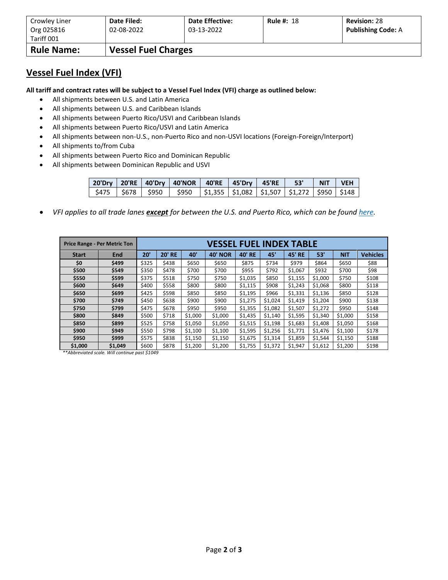| Crowley Liner            | Date Filed:                | <b>Date Effective:</b> | <b>Rule #: 18</b> | <b>Revision: 28</b>       |
|--------------------------|----------------------------|------------------------|-------------------|---------------------------|
| Org 025816<br>Tariff 001 | 02-08-2022                 | 03-13-2022             |                   | <b>Publishing Code: A</b> |
| <b>Rule Name:</b>        | <b>Vessel Fuel Charges</b> |                        |                   |                           |

## **Vessel Fuel Index (VFI)**

**All tariff and contract rates will be subject to a Vessel Fuel Index (VFI) charge as outlined below:**

- All shipments between U.S. and Latin America
- All shipments between U.S. and Caribbean Islands
- All shipments between Puerto Rico/USVI and Caribbean Islands
- All shipments between Puerto Rico/USVI and Latin America
- All shipments between non-U.S., non-Puerto Rico and non-USVI locations (Foreign-Foreign/Interport)
- All shipments to/from Cuba
- All shipments between Puerto Rico and Dominican Republic
- All shipments between Dominican Republic and USVI

|  | 20'Dry   20'RE   40'Dry   40'NOR   40'RE   45'Dry   45'RE     53'     NIT   VEH |  |  |  |
|--|---------------------------------------------------------------------------------|--|--|--|
|  | \$475   \$678   \$950   \$950  \$1,355  \$1,082  \$1,507  \$1,272  \$950  \$148 |  |  |  |

• *VFI applies to all trade lanes except for between the U.S. and Puerto Rico, which can be foun[d here.](https://www.crowley.com/logistics/resources/rates-tariffs/stb/#18-1-vessel-fuel-surcharge-between-the-continental-us-and-puerto-rico)*

|              | <b>Price Range - Per Metric Ton</b> |       |               |         | VESSEL FUEL INDEX TABLE |         |         |               |         |            |                 |
|--------------|-------------------------------------|-------|---------------|---------|-------------------------|---------|---------|---------------|---------|------------|-----------------|
| <b>Start</b> | <b>End</b>                          | 20'   | <b>20' RE</b> | 40'     | <b>40' NOR</b>          | 40' RE  | 45'     | <b>45' RE</b> | 53'     | <b>NIT</b> | <b>Vehicles</b> |
| \$0          | \$499                               | \$325 | \$438         | \$650   | \$650                   | \$875   | \$734   | \$979         | \$864   | \$650      | \$88            |
| \$500        | \$549                               | \$350 | \$478         | \$700   | \$700                   | \$955   | \$792   | \$1,067       | \$932   | \$700      | \$98            |
| \$550        | \$599                               | \$375 | \$518         | \$750   | \$750                   | \$1,035 | \$850   | \$1,155       | \$1,000 | \$750      | \$108           |
| \$600        | \$649                               | \$400 | \$558         | \$800   | \$800                   | \$1,115 | \$908   | \$1,243       | \$1,068 | \$800      | \$118           |
| \$650        | \$699                               | \$425 | \$598         | \$850   | \$850                   | \$1,195 | \$966   | \$1,331       | \$1,136 | \$850      | \$128           |
| \$700        | \$749                               | \$450 | \$638         | \$900   | \$900                   | \$1,275 | \$1,024 | \$1,419       | \$1,204 | \$900      | \$138           |
| \$750        | \$799                               | \$475 | \$678         | \$950   | \$950                   | \$1,355 | \$1,082 | \$1,507       | \$1,272 | \$950      | \$148           |
| \$800        | \$849                               | \$500 | \$718         | \$1,000 | \$1,000                 | \$1,435 | \$1,140 | \$1,595       | \$1,340 | \$1,000    | \$158           |
| \$850        | \$899                               | \$525 | \$758         | \$1,050 | \$1,050                 | \$1,515 | \$1,198 | \$1,683       | \$1,408 | \$1,050    | \$168           |
| \$900        | \$949                               | \$550 | \$798         | \$1,100 | \$1,100                 | \$1,595 | \$1,256 | \$1,771       | \$1,476 | \$1,100    | \$178           |
| \$950        | \$999                               | \$575 | \$838         | \$1,150 | \$1,150                 | \$1,675 | \$1,314 | \$1,859       | \$1,544 | \$1,150    | \$188           |
| \$1,000      | \$1,049                             | \$600 | \$878         | \$1,200 | \$1,200                 | \$1,755 | \$1,372 | \$1,947       | \$1,612 | \$1,200    | \$198           |

*\*\*Abbreviated scale. Will continue past \$1049*